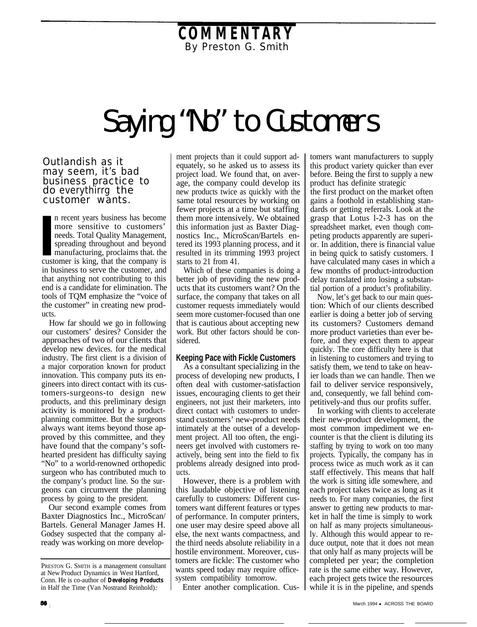## **COMMENTARY** By Preston G. Smith

## Saying "No" to Customers

Outlandish as it may seem, it's bad business practice to do everythirrg the customer wants.

In recent years business has become more sensitive to customers' needs. Total Quality Management, spreading throughout and beyond manufacturing, proclaims that the customer is king, that the company is n recent years business has become more sensitive to customers' needs. Total Quality Management, spreading throughout and beyond manufacturing, proclaims that. the in business to serve the customer, and that anything not contributing to this end is a candidate for elimination. The tools of TQM emphasize the "voice of the customer" in creating new products.

How far should we go in following our customers' desires? Consider the approaches of two of our clients that develop new devices. for the medical industry. The first client is a division of a major corporation known for product innovation. This company puts its engineers into direct contact with its customers-surgeons-to design new products, and this preliminary design activity is monitored by a productplanning committee. But the surgeons always want items beyond those approved by this committee, and they have found that the company's softhearted president has difficulty saying "No" to a world-renowned orthopedic surgeon who has contributed much to the company's product line. So the surgeons can circumvent the planning process by going to the president.

Our second example comes from Baxter Diagnostics Inc., MicroScan/ Bartels. General Manager James H. Godsey suspected that the company already was working on more development projects than it could support adequately, so he asked us to assess its project load. We found that, on average, the company could develop its new products twice as quickly with the same total resources by working on fewer projects at a time but staffing them more intensively. We obtained this information just as Baxter Diagnostics Inc., MicroScan/Bartels entered its 1993 planning process, and it resulted in its trimming 1993 project starts to 21 from 41.

Which of these companies is doing a better job of providing the new products that its customers want? On the surface, the company that takes on all customer requests immediately would seem more customer-focused than one that is cautious about accepting new work. But other factors should be considered.

## **Keeping Pace with Fickle Customers**

As a consultant specializing in the process of developing new products, I often deal with customer-satisfaction issues, encouraging clients to get their engineers, not just their marketers, into direct contact with customers to understand customers' new-product needs intimately at the outset of a development project. All too often, the engineers get involved with customers reactively, being sent into the field to fix problems already designed into products.

However, there is a problem with this laudable objective of listening carefully to customers: Different customers want different features or types of performance. In computer printers, one user may desire speed above all else, the next wants compactness, and the third needs absolute reliability in a hostile environment. Moreover, customers are fickle: The customer who wants speed today may require officesystem compatibility tomorrow.

Enter another complication. Cus-

tomers want manufacturers to supply this product variety quicker than ever before. Being the first to supply a new product has definite strategic

the first product on the market often gains a foothold in establishing standards or getting referrals. Look at the grasp that Lotus l-2-3 has on the spreadsheet market, even though competing products apparently are superior. In addition, there is financial value in being quick to satisfy customers. I have calculated many cases in which a few months of product-introduction delay translated into losing a substantial portion of a product's profitability.

Now, let's get back to our main question: Which of our clients described earlier is doing a better job of serving its customers? Customers demand more product varieties than ever before, and they expect them to appear quickly. The core difficulty here is that in listening to customers and trying to satisfy them, we tend to take on heavier loads than we can handle. Then we fail to deliver service responsively, and, consequently, we fall behind competitively-and thus our profits suffer.

In working with clients to accelerate their new-product development, the most common impediment we encounter is that the client is diluting its staffing by trying to work on too many projects. Typically, the company has in process twice as much work as it can staff effectively. This means that half the work is sitting idle somewhere, and each project takes twice as long as it needs to. For many companies, the first answer to getting new products to market in half the time is simply to work on half as many projects simultaneously. Although this would appear to reduce output, note that it does not mean that only half as many projects will be completed per year; the completion rate is the same either way. However, each project gets twice the resources while it is in the pipeline, and spends

PRESTON G. SMITH is a management consultant at New Product Dynamics in West Hartford, Conn. He is co-author of *Developing Products* in Half the Time (Van Nostrand Reinhold).;